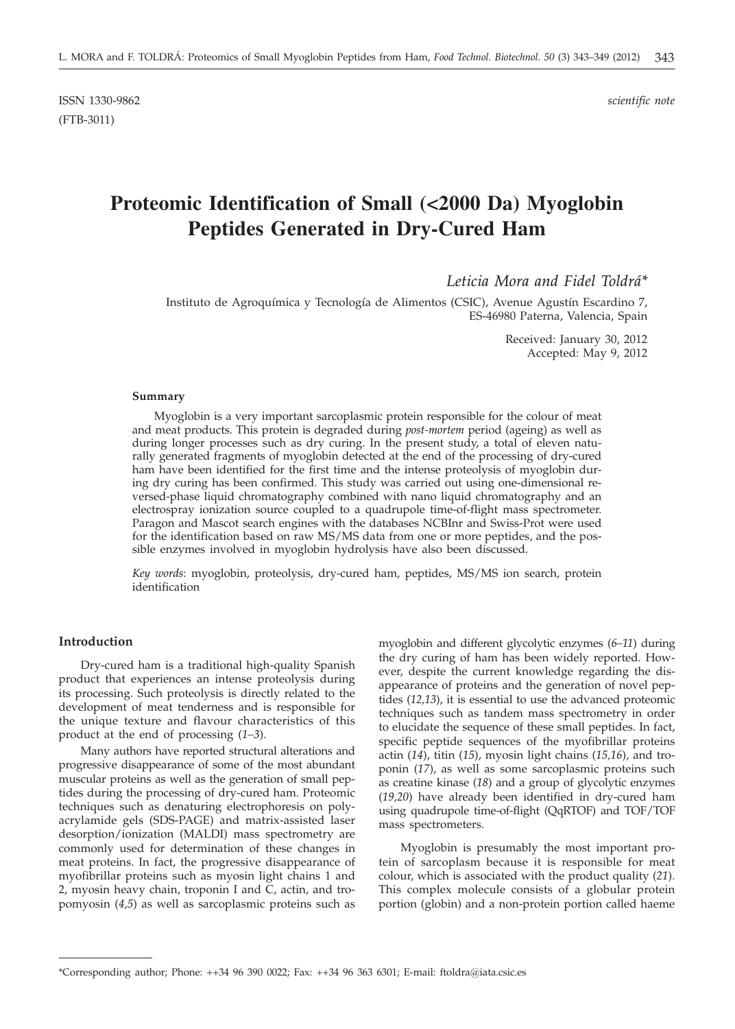# **Proteomic Identification of Small (<2000 Da) Myoglobin Peptides Generated in Dry-Cured Ham**

*Leticia Mora and Fidel Toldrá\**

Instituto de Agroquímica y Tecnología de Alimentos (CSIC), Avenue Agustín Escardino 7, ES-46980 Paterna, Valencia, Spain

> Received: January 30, 2012 Accepted: May 9, 2012

#### **Summary**

Myoglobin is a very important sarcoplasmic protein responsible for the colour of meat and meat products. This protein is degraded during *post-mortem* period (ageing) as well as during longer processes such as dry curing. In the present study, a total of eleven naturally generated fragments of myoglobin detected at the end of the processing of dry-cured ham have been identified for the first time and the intense proteolysis of myoglobin during dry curing has been confirmed. This study was carried out using one-dimensional reversed-phase liquid chromatography combined with nano liquid chromatography and an electrospray ionization source coupled to a quadrupole time-of-flight mass spectrometer. Paragon and Mascot search engines with the databases NCBInr and Swiss-Prot were used for the identification based on raw MS/MS data from one or more peptides, and the possible enzymes involved in myoglobin hydrolysis have also been discussed.

*Key words*: myoglobin, proteolysis, dry-cured ham, peptides, MS/MS ion search, protein identification

# **Introduction**

Dry-cured ham is a traditional high-quality Spanish product that experiences an intense proteolysis during its processing. Such proteolysis is directly related to the development of meat tenderness and is responsible for the unique texture and flavour characteristics of this product at the end of processing (*1–3*).

Many authors have reported structural alterations and progressive disappearance of some of the most abundant muscular proteins as well as the generation of small peptides during the processing of dry-cured ham. Proteomic techniques such as denaturing electrophoresis on polyacrylamide gels (SDS-PAGE) and matrix-assisted laser desorption/ionization (MALDI) mass spectrometry are commonly used for determination of these changes in meat proteins. In fact, the progressive disappearance of myofibrillar proteins such as myosin light chains 1 and 2, myosin heavy chain, troponin I and C, actin, and tropomyosin (*4,5*) as well as sarcoplasmic proteins such as

myoglobin and different glycolytic enzymes (*6–11*) during the dry curing of ham has been widely reported. However, despite the current knowledge regarding the disappearance of proteins and the generation of novel peptides (*12,13*), it is essential to use the advanced proteomic techniques such as tandem mass spectrometry in order to elucidate the sequence of these small peptides. In fact, specific peptide sequences of the myofibrillar proteins actin (*14*), titin (*15*), myosin light chains (*15,16*), and troponin (*17*), as well as some sarcoplasmic proteins such as creatine kinase (*18*) and a group of glycolytic enzymes (*19,20*) have already been identified in dry-cured ham using quadrupole time-of-flight (QqRTOF) and TOF/TOF mass spectrometers.

Myoglobin is presumably the most important protein of sarcoplasm because it is responsible for meat colour, which is associated with the product quality (*21*). This complex molecule consists of a globular protein portion (globin) and a non-protein portion called haeme

<sup>\*</sup>Corresponding author; Phone: ++34 96 390 0022; Fax: ++34 96 363 6301; E-mail: ftoldra@iata.csic.es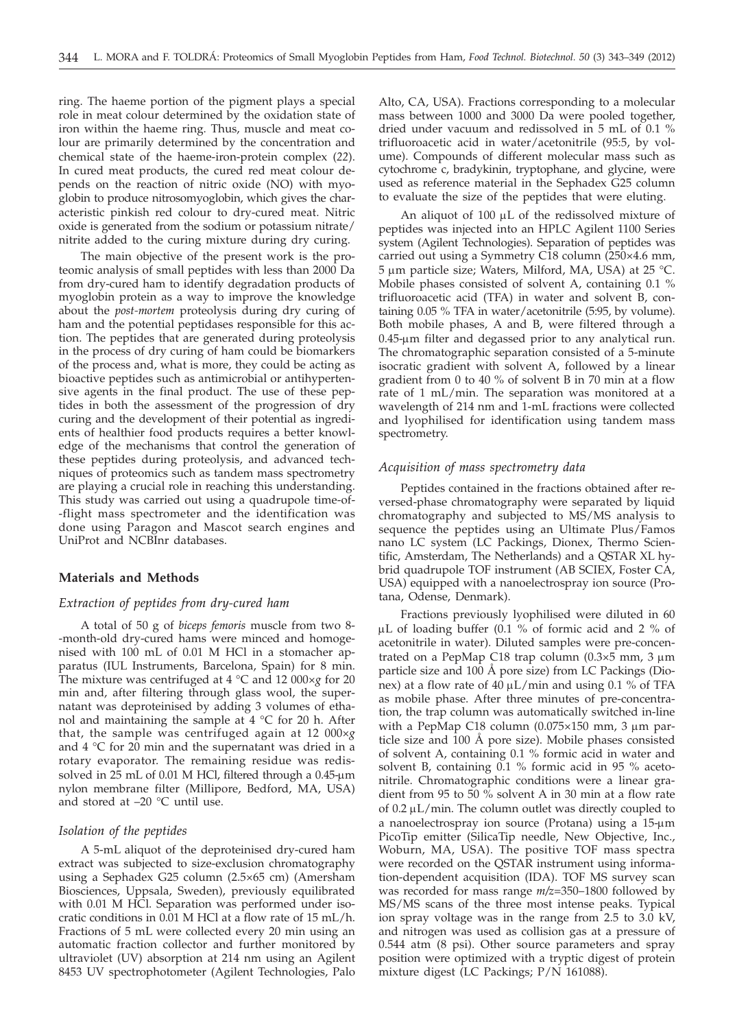ring. The haeme portion of the pigment plays a special role in meat colour determined by the oxidation state of iron within the haeme ring. Thus, muscle and meat colour are primarily determined by the concentration and chemical state of the haeme-iron-protein complex (*22*). In cured meat products, the cured red meat colour depends on the reaction of nitric oxide (NO) with myoglobin to produce nitrosomyoglobin, which gives the characteristic pinkish red colour to dry-cured meat. Nitric oxide is generated from the sodium or potassium nitrate/ nitrite added to the curing mixture during dry curing.

The main objective of the present work is the proteomic analysis of small peptides with less than 2000 Da from dry-cured ham to identify degradation products of myoglobin protein as a way to improve the knowledge about the *post-mortem* proteolysis during dry curing of ham and the potential peptidases responsible for this action. The peptides that are generated during proteolysis in the process of dry curing of ham could be biomarkers of the process and, what is more, they could be acting as bioactive peptides such as antimicrobial or antihypertensive agents in the final product. The use of these peptides in both the assessment of the progression of dry curing and the development of their potential as ingredients of healthier food products requires a better knowledge of the mechanisms that control the generation of these peptides during proteolysis, and advanced techniques of proteomics such as tandem mass spectrometry are playing a crucial role in reaching this understanding. This study was carried out using a quadrupole time-of- -flight mass spectrometer and the identification was done using Paragon and Mascot search engines and UniProt and NCBInr databases.

#### **Materials and Methods**

# *Extraction of peptides from dry-cured ham*

A total of 50 g of *biceps femoris* muscle from two 8- -month-old dry-cured hams were minced and homogenised with 100 mL of 0.01 M HCl in a stomacher apparatus (IUL Instruments, Barcelona, Spain) for 8 min. The mixture was centrifuged at 4 °C and 12 000×*g* for 20 min and, after filtering through glass wool, the supernatant was deproteinised by adding 3 volumes of ethanol and maintaining the sample at 4 °C for 20 h. After that, the sample was centrifuged again at 12 000×*g* and 4 °C for 20 min and the supernatant was dried in a rotary evaporator. The remaining residue was redissolved in 25 mL of 0.01 M HCl, filtered through a 0.45-µm nylon membrane filter (Millipore, Bedford, MA, USA) and stored at –20 °C until use.

# *Isolation of the peptides*

A 5-mL aliquot of the deproteinised dry-cured ham extract was subjected to size-exclusion chromatography using a Sephadex G25 column (2.5×65 cm) (Amersham Biosciences, Uppsala, Sweden), previously equilibrated with 0.01 M HCl. Separation was performed under isocratic conditions in 0.01 M HCl at a flow rate of 15 mL/h. Fractions of 5 mL were collected every 20 min using an automatic fraction collector and further monitored by ultraviolet (UV) absorption at 214 nm using an Agilent 8453 UV spectrophotometer (Agilent Technologies, Palo Alto, CA, USA). Fractions corresponding to a molecular mass between 1000 and 3000 Da were pooled together, dried under vacuum and redissolved in 5 mL of 0.1 % trifluoroacetic acid in water/acetonitrile (95:5, by volume). Compounds of different molecular mass such as cytochrome c, bradykinin, tryptophane, and glycine, were used as reference material in the Sephadex G25 column to evaluate the size of the peptides that were eluting.

An aliquot of 100 µL of the redissolved mixture of peptides was injected into an HPLC Agilent 1100 Series system (Agilent Technologies). Separation of peptides was carried out using a Symmetry C18 column (250×4.6 mm,  $5 \mu m$  particle size; Waters, Milford, MA, USA) at 25 °C. Mobile phases consisted of solvent A, containing 0.1 % trifluoroacetic acid (TFA) in water and solvent B, containing 0.05 % TFA in water/acetonitrile (5:95, by volume). Both mobile phases, A and B, were filtered through a 0.45-µm filter and degassed prior to any analytical run. The chromatographic separation consisted of a 5-minute isocratic gradient with solvent A, followed by a linear gradient from 0 to 40 % of solvent B in 70 min at a flow rate of 1 mL/min. The separation was monitored at a wavelength of 214 nm and 1-mL fractions were collected and lyophilised for identification using tandem mass spectrometry.

#### *Acquisition of mass spectrometry data*

Peptides contained in the fractions obtained after reversed-phase chromatography were separated by liquid chromatography and subjected to MS/MS analysis to sequence the peptides using an Ultimate Plus/Famos nano LC system (LC Packings, Dionex, Thermo Scientific, Amsterdam, The Netherlands) and a QSTAR XL hybrid quadrupole TOF instrument (AB SCIEX, Foster CA, USA) equipped with a nanoelectrospray ion source (Protana, Odense, Denmark).

Fractions previously lyophilised were diluted in 60  $\mu$ L of loading buffer (0.1 % of formic acid and 2 % of acetonitrile in water). Diluted samples were pre-concentrated on a PepMap C18 trap column  $(0.3 \times 5 \text{ mm}, 3 \text{ }\mu\text{m})$ particle size and 100 Å pore size) from LC Packings (Dionex) at a flow rate of  $40 \mu L/min$  and using 0.1 % of TFA as mobile phase. After three minutes of pre-concentration, the trap column was automatically switched in-line with a PepMap C18 column  $(0.075 \times 150 \text{ mm}, 3 \text{ mm})$  particle size and 100 Å pore size). Mobile phases consisted of solvent A, containing 0.1 % formic acid in water and solvent B, containing 0.1 % formic acid in 95 % acetonitrile. Chromatographic conditions were a linear gradient from 95 to 50 % solvent A in 30 min at a flow rate of  $0.2 \mu L/min$ . The column outlet was directly coupled to a nanoelectrospray ion source (Protana) using a 15-µm PicoTip emitter (SilicaTip needle, New Objective, Inc., Woburn, MA, USA). The positive TOF mass spectra were recorded on the QSTAR instrument using information-dependent acquisition (IDA). TOF MS survey scan was recorded for mass range *m/z*=350–1800 followed by MS/MS scans of the three most intense peaks. Typical ion spray voltage was in the range from 2.5 to 3.0 kV, and nitrogen was used as collision gas at a pressure of 0.544 atm (8 psi). Other source parameters and spray position were optimized with a tryptic digest of protein mixture digest (LC Packings; P/N 161088).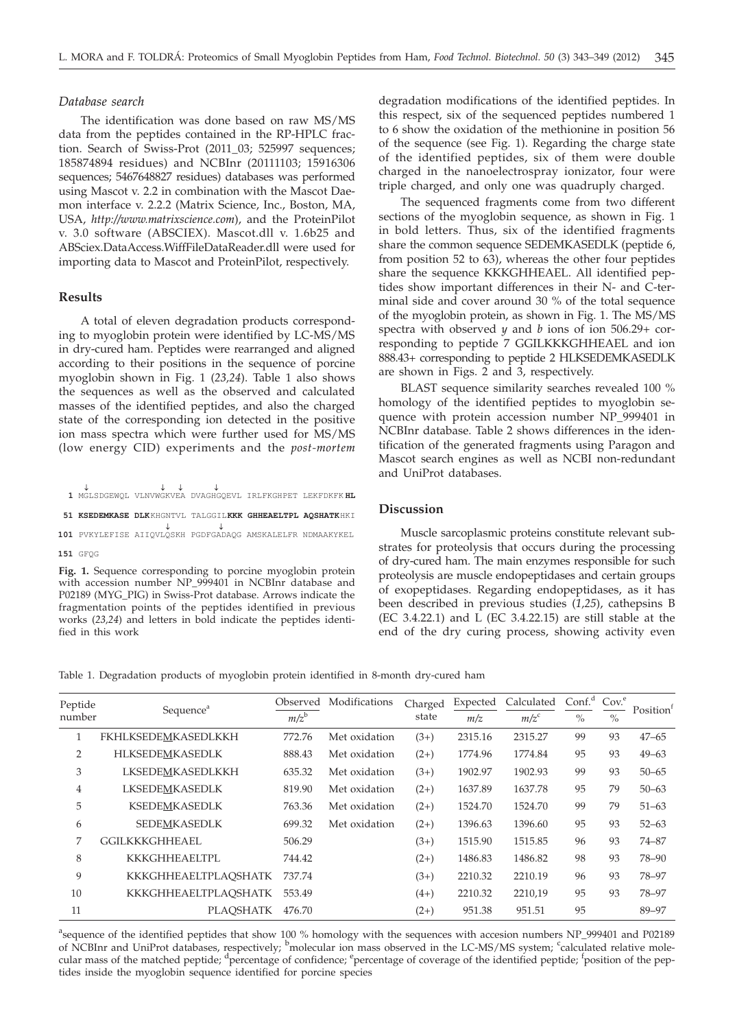#### *Database search*

The identification was done based on raw MS/MS data from the peptides contained in the RP-HPLC fraction. Search of Swiss-Prot (2011\_03; 525997 sequences; 185874894 residues) and NCBInr (20111103; 15916306 sequences; 5467648827 residues) databases was performed using Mascot v. 2.2 in combination with the Mascot Daemon interface v. 2.2.2 (Matrix Science, Inc., Boston, MA, USA, *http://www.matrixscience.com*), and the ProteinPilot v. 3.0 software (ABSCIEX). Mascot.dll v. 1.6b25 and ABSciex.DataAccess.WiffFileDataReader.dll were used for importing data to Mascot and ProteinPilot, respectively.

# **Results**

A total of eleven degradation products corresponding to myoglobin protein were identified by LC-MS/MS in dry-cured ham. Peptides were rearranged and aligned according to their positions in the sequence of porcine myoglobin shown in Fig. 1 (*23,24*). Table 1 also shows the sequences as well as the observed and calculated masses of the identified peptides, and also the charged state of the corresponding ion detected in the positive ion mass spectra which were further used for MS/MS (low energy CID) experiments and the *post-mortem*

**¯ ¯¯ ¯ 1** MGLSDGEWQL VLNVWGKVEA DVAGHGQEVL IRLFKGHPET LEKFDKFK **HL 51 KSEDEMKASE DLK**KHGNTVL TALGGIL**KKK GHHEAELTPL AQSHATK**HKI

**101** PVKYLEFISE AIIQVLQSKH PGDFGADAQG AMSKALELFR NDMAAKYKEL **¯ ¯**

**151** GFQG

**Fig. 1.** Sequence corresponding to porcine myoglobin protein with accession number NP\_999401 in NCBInr database and P02189 (MYG\_PIG) in Swiss-Prot database. Arrows indicate the fragmentation points of the peptides identified in previous works (*23,24*) and letters in bold indicate the peptides identified in this work

degradation modifications of the identified peptides. In this respect, six of the sequenced peptides numbered 1 to 6 show the oxidation of the methionine in position 56 of the sequence (see Fig. 1). Regarding the charge state of the identified peptides, six of them were double charged in the nanoelectrospray ionizator, four were triple charged, and only one was quadruply charged.

The sequenced fragments come from two different sections of the myoglobin sequence, as shown in Fig. 1 in bold letters. Thus, six of the identified fragments share the common sequence SEDEMKASEDLK (peptide 6, from position 52 to 63), whereas the other four peptides share the sequence KKKGHHEAEL. All identified peptides show important differences in their N- and C-terminal side and cover around 30 % of the total sequence of the myoglobin protein, as shown in Fig. 1. The MS/MS spectra with observed *y* and *b* ions of ion 506.29+ corresponding to peptide 7 GGILKKKGHHEAEL and ion 888.43+ corresponding to peptide 2 HLKSEDEMKASEDLK are shown in Figs. 2 and 3, respectively.

BLAST sequence similarity searches revealed 100 % homology of the identified peptides to myoglobin sequence with protein accession number NP\_999401 in NCBInr database. Table 2 shows differences in the identification of the generated fragments using Paragon and Mascot search engines as well as NCBI non-redundant and UniProt databases.

#### **Discussion**

Muscle sarcoplasmic proteins constitute relevant substrates for proteolysis that occurs during the processing of dry-cured ham. The main enzymes responsible for such proteolysis are muscle endopeptidases and certain groups of exopeptidases. Regarding endopeptidases, as it has been described in previous studies (*1,25*), cathepsins B (EC 3.4.22.1) and  $\overline{L}$  (EC 3.4.22.15) are still stable at the end of the dry curing process, showing activity even

Table 1. Degradation products of myoglobin protein identified in 8-month dry-cured ham

| Peptide        | Sequence <sup>a</sup>      | Observed | Modifications | Charged | Expected | Calculated | Conf <sup>d</sup> | Cov <sup>e</sup> | Position <sup>t</sup> |
|----------------|----------------------------|----------|---------------|---------|----------|------------|-------------------|------------------|-----------------------|
| number         |                            | $m/z^b$  |               | state   | m/z      | $m/z^c$    | $\%$              | $\frac{0}{0}$    |                       |
|                | <b>FKHLKSEDEMKASEDLKKH</b> | 772.76   | Met oxidation | $(3+)$  | 2315.16  | 2315.27    | 99                | 93               | $47 - 65$             |
| $\overline{2}$ | <b>HLKSEDEMKASEDLK</b>     | 888.43   | Met oxidation | $(2+)$  | 1774.96  | 1774.84    | 95                | 93               | $49 - 63$             |
| 3              | LKSEDEMKASEDLKKH           | 635.32   | Met oxidation | $(3+)$  | 1902.97  | 1902.93    | 99                | 93               | $50 - 65$             |
| 4              | <b>LKSEDEMKASEDLK</b>      | 819.90   | Met oxidation | $(2+)$  | 1637.89  | 1637.78    | 95                | 79               | $50 - 63$             |
| 5              | <b>KSEDEMKASEDLK</b>       | 763.36   | Met oxidation | $(2+)$  | 1524.70  | 1524.70    | 99                | 79               | $51 - 63$             |
| 6              | SEDEMKASEDLK               | 699.32   | Met oxidation | $(2+)$  | 1396.63  | 1396.60    | 95                | 93               | $52 - 63$             |
| 7              | <b>GGILKKKGHHEAEL</b>      | 506.29   |               | $(3+)$  | 1515.90  | 1515.85    | 96                | 93               | 74-87                 |
| 8              | <b>KKKGHHEAELTPL</b>       | 744.42   |               | $(2+)$  | 1486.83  | 1486.82    | 98                | 93               | 78-90                 |
| 9              | KKKGHHEAELTPLAOSHATK       | 737.74   |               | $(3+)$  | 2210.32  | 2210.19    | 96                | 93               | 78-97                 |
| 10             | KKKGHHEAELTPLAOSHATK       | 553.49   |               | $(4+)$  | 2210.32  | 2210,19    | 95                | 93               | 78-97                 |
| 11             | <b>PLAOSHATK</b>           | 476.70   |               | $(2+)$  | 951.38   | 951.51     | 95                |                  | 89-97                 |

<sup>a</sup>sequence of the identified peptides that show 100 % homology with the sequences with accesion numbers NP\_999401 and P02189 of NCBInr and UniProt databases, respectively; <sup>b</sup>molecular ion mass observed in the LC-MS/MS system; <sup>c</sup>calculated relative mole-<br>cular mass of the matched peptide; <sup>d</sup>percentage of confidence; <sup>e</sup>percentage of coverage o tides inside the myoglobin sequence identified for porcine species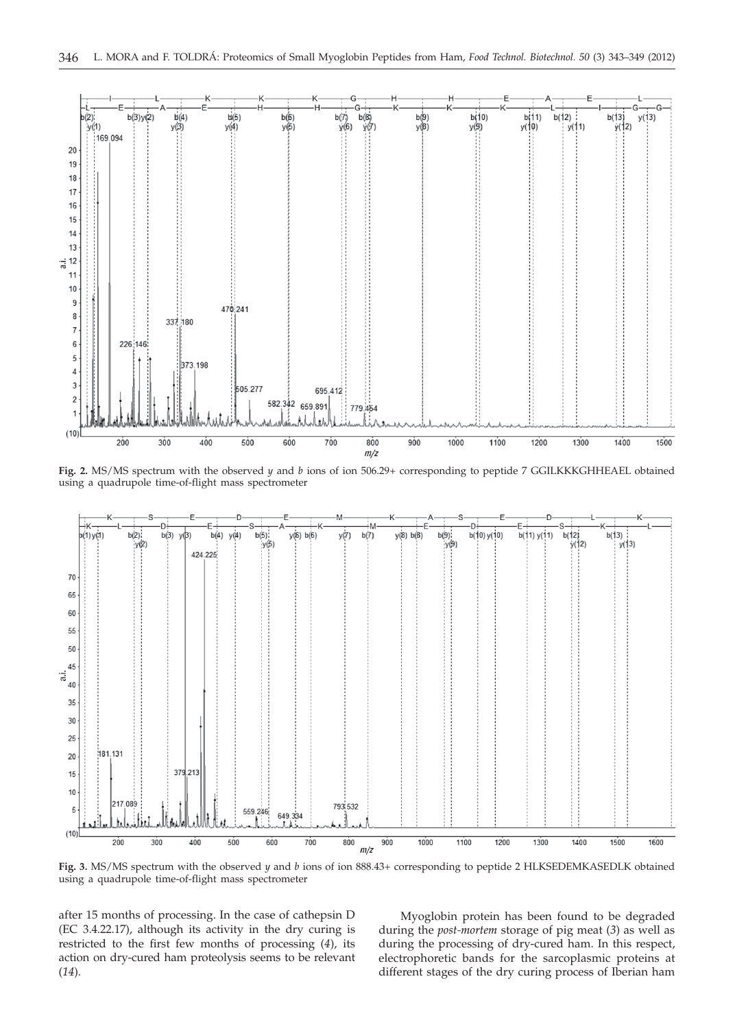

**Fig. 2.** MS/MS spectrum with the observed *y* and *b* ions of ion 506.29+ corresponding to peptide 7 GGILKKKGHHEAEL obtained using a quadrupole time-of-flight mass spectrometer



**Fig. 3.** MS/MS spectrum with the observed *y* and *b* ions of ion 888.43+ corresponding to peptide 2 HLKSEDEMKASEDLK obtained using a quadrupole time-of-flight mass spectrometer

after 15 months of processing. In the case of cathepsin D (EC 3.4.22.17), although its activity in the dry curing is restricted to the first few months of processing (*4*), its action on dry-cured ham proteolysis seems to be relevant (*14*).

Myoglobin protein has been found to be degraded during the *post-mortem* storage of pig meat (*3*) as well as during the processing of dry-cured ham. In this respect, electrophoretic bands for the sarcoplasmic proteins at different stages of the dry curing process of Iberian ham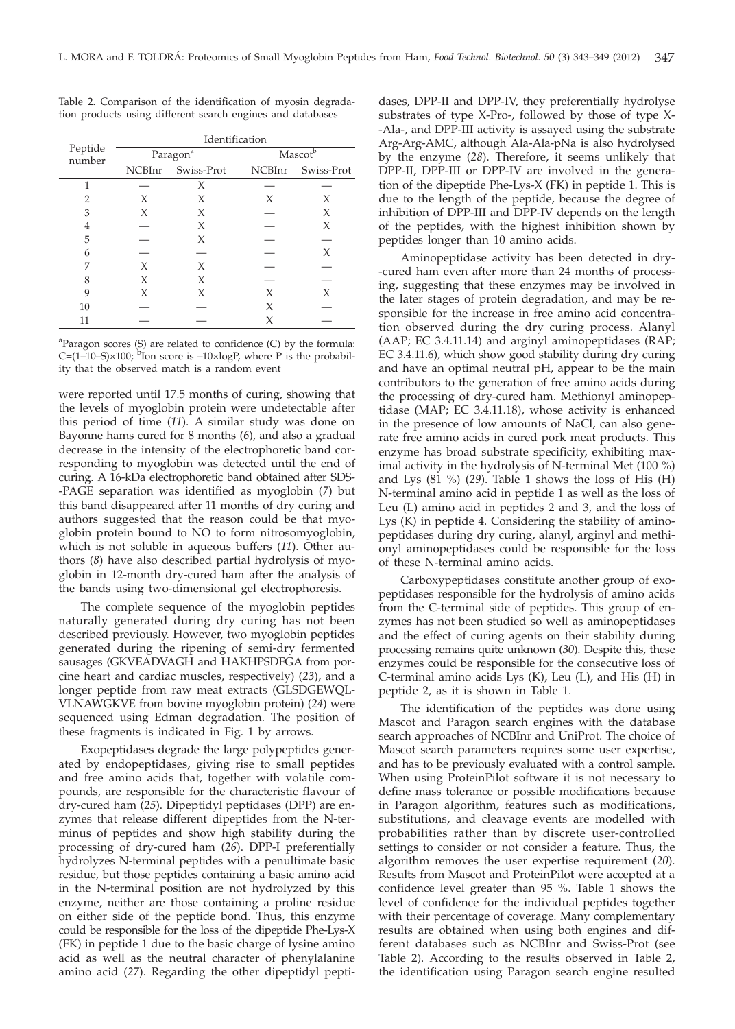|                   | Identification |                               |                     |            |  |  |  |  |  |
|-------------------|----------------|-------------------------------|---------------------|------------|--|--|--|--|--|
| Peptide<br>number |                | $\mathrm{Paragon}^\mathrm{a}$ | Mascot <sup>b</sup> |            |  |  |  |  |  |
|                   | NCBInr         | Swiss-Prot                    | NCBInr              | Swiss-Prot |  |  |  |  |  |
| 1                 |                | Х                             |                     |            |  |  |  |  |  |
| 2                 | X              | Х                             | X                   | X          |  |  |  |  |  |
| 3                 | X              | X                             |                     | X          |  |  |  |  |  |
| 4                 |                | Х                             |                     | X          |  |  |  |  |  |
| 5                 |                | Х                             |                     |            |  |  |  |  |  |
| 6                 |                |                               |                     | X          |  |  |  |  |  |
| 7                 | X              | X                             |                     |            |  |  |  |  |  |
| 8                 | X              | Х                             |                     |            |  |  |  |  |  |
| 9                 | X              | X                             | X                   | X          |  |  |  |  |  |
| 10                |                |                               | X                   |            |  |  |  |  |  |
| 11                |                |                               | Χ                   |            |  |  |  |  |  |

Table 2. Comparison of the identification of myosin degradation products using different search engines and databases

<sup>a</sup>Paragon scores (S) are related to confidence (C) by the formula:  $C=(1-10-S)\times100$ ; <sup>b</sup>Ion score is  $-10\times100P$ , where P is the probability that the observed match is a random event

were reported until 17.5 months of curing, showing that the levels of myoglobin protein were undetectable after this period of time (*11*). A similar study was done on Bayonne hams cured for 8 months (*6*), and also a gradual decrease in the intensity of the electrophoretic band corresponding to myoglobin was detected until the end of curing. A 16-kDa electrophoretic band obtained after SDS- -PAGE separation was identified as myoglobin (*7*) but this band disappeared after 11 months of dry curing and authors suggested that the reason could be that myoglobin protein bound to NO to form nitrosomyoglobin, which is not soluble in aqueous buffers (*11*). Other authors (*8*) have also described partial hydrolysis of myoglobin in 12-month dry-cured ham after the analysis of the bands using two-dimensional gel electrophoresis.

The complete sequence of the myoglobin peptides naturally generated during dry curing has not been described previously. However, two myoglobin peptides generated during the ripening of semi-dry fermented sausages (GKVEADVAGH and HAKHPSDFGA from porcine heart and cardiac muscles, respectively) (*23*), and a longer peptide from raw meat extracts (GLSDGEWQL-VLNAWGKVE from bovine myoglobin protein) (*24*) were sequenced using Edman degradation. The position of these fragments is indicated in Fig. 1 by arrows.

Exopeptidases degrade the large polypeptides generated by endopeptidases, giving rise to small peptides and free amino acids that, together with volatile compounds, are responsible for the characteristic flavour of dry-cured ham (*25*). Dipeptidyl peptidases (DPP) are enzymes that release different dipeptides from the N-terminus of peptides and show high stability during the processing of dry-cured ham (*26*). DPP-I preferentially hydrolyzes N-terminal peptides with a penultimate basic residue, but those peptides containing a basic amino acid in the N-terminal position are not hydrolyzed by this enzyme, neither are those containing a proline residue on either side of the peptide bond. Thus, this enzyme could be responsible for the loss of the dipeptide Phe-Lys-X (FK) in peptide 1 due to the basic charge of lysine amino acid as well as the neutral character of phenylalanine amino acid (*27*). Regarding the other dipeptidyl pepti-

dases, DPP-II and DPP-IV, they preferentially hydrolyse substrates of type X-Pro-, followed by those of type X- -Ala-, and DPP-III activity is assayed using the substrate Arg-Arg-AMC, although Ala-Ala-pNa is also hydrolysed by the enzyme (*28*). Therefore, it seems unlikely that DPP-II, DPP-III or DPP-IV are involved in the generation of the dipeptide Phe-Lys-X (FK) in peptide 1. This is due to the length of the peptide, because the degree of inhibition of DPP-III and DPP-IV depends on the length of the peptides, with the highest inhibition shown by peptides longer than 10 amino acids.

Aminopeptidase activity has been detected in dry- -cured ham even after more than 24 months of processing, suggesting that these enzymes may be involved in the later stages of protein degradation, and may be responsible for the increase in free amino acid concentration observed during the dry curing process. Alanyl (AAP; EC 3.4.11.14) and arginyl aminopeptidases (RAP; EC 3.4.11.6), which show good stability during dry curing and have an optimal neutral pH, appear to be the main contributors to the generation of free amino acids during the processing of dry-cured ham. Methionyl aminopeptidase (MAP; EC 3.4.11.18), whose activity is enhanced in the presence of low amounts of NaCl, can also generate free amino acids in cured pork meat products. This enzyme has broad substrate specificity, exhibiting maximal activity in the hydrolysis of N-terminal Met (100 %) and Lys (81 %) (*29*). Table 1 shows the loss of His (H) N-terminal amino acid in peptide 1 as well as the loss of Leu (L) amino acid in peptides 2 and 3, and the loss of Lys (K) in peptide 4. Considering the stability of aminopeptidases during dry curing, alanyl, arginyl and methionyl aminopeptidases could be responsible for the loss of these N-terminal amino acids.

Carboxypeptidases constitute another group of exopeptidases responsible for the hydrolysis of amino acids from the C-terminal side of peptides. This group of enzymes has not been studied so well as aminopeptidases and the effect of curing agents on their stability during processing remains quite unknown (*30*). Despite this, these enzymes could be responsible for the consecutive loss of C-terminal amino acids Lys (K), Leu (L), and His (H) in peptide 2, as it is shown in Table 1.

The identification of the peptides was done using Mascot and Paragon search engines with the database search approaches of NCBInr and UniProt. The choice of Mascot search parameters requires some user expertise, and has to be previously evaluated with a control sample. When using ProteinPilot software it is not necessary to define mass tolerance or possible modifications because in Paragon algorithm, features such as modifications, substitutions, and cleavage events are modelled with probabilities rather than by discrete user-controlled settings to consider or not consider a feature. Thus, the algorithm removes the user expertise requirement (*20*). Results from Mascot and ProteinPilot were accepted at a confidence level greater than 95 %. Table 1 shows the level of confidence for the individual peptides together with their percentage of coverage. Many complementary results are obtained when using both engines and different databases such as NCBInr and Swiss-Prot (see Table 2). According to the results observed in Table 2, the identification using Paragon search engine resulted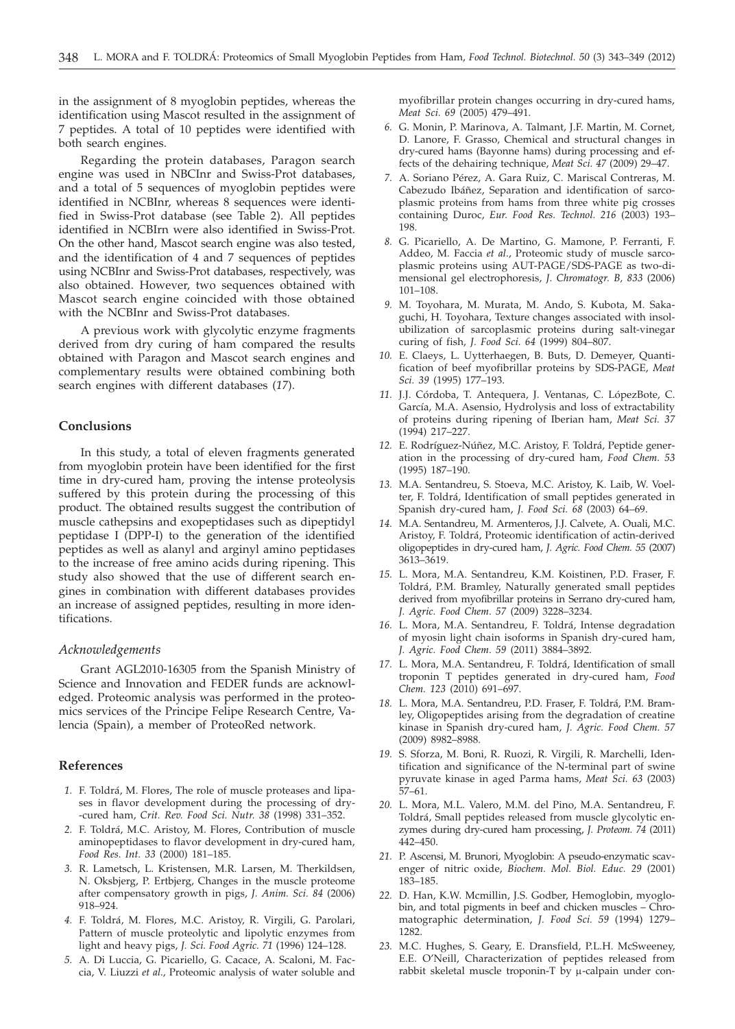in the assignment of 8 myoglobin peptides, whereas the identification using Mascot resulted in the assignment of 7 peptides. A total of 10 peptides were identified with both search engines.

Regarding the protein databases, Paragon search engine was used in NBCInr and Swiss-Prot databases, and a total of 5 sequences of myoglobin peptides were identified in NCBInr, whereas 8 sequences were identified in Swiss-Prot database (see Table 2). All peptides identified in NCBIrn were also identified in Swiss-Prot. On the other hand, Mascot search engine was also tested, and the identification of 4 and 7 sequences of peptides using NCBInr and Swiss-Prot databases, respectively, was also obtained. However, two sequences obtained with Mascot search engine coincided with those obtained with the NCBInr and Swiss-Prot databases.

A previous work with glycolytic enzyme fragments derived from dry curing of ham compared the results obtained with Paragon and Mascot search engines and complementary results were obtained combining both search engines with different databases (*17*).

# **Conclusions**

In this study, a total of eleven fragments generated from myoglobin protein have been identified for the first time in dry-cured ham, proving the intense proteolysis suffered by this protein during the processing of this product. The obtained results suggest the contribution of muscle cathepsins and exopeptidases such as dipeptidyl peptidase I (DPP-I) to the generation of the identified peptides as well as alanyl and arginyl amino peptidases to the increase of free amino acids during ripening. This study also showed that the use of different search engines in combination with different databases provides an increase of assigned peptides, resulting in more identifications.

#### *Acknowledgements*

Grant AGL2010-16305 from the Spanish Ministry of Science and Innovation and FEDER funds are acknowledged. Proteomic analysis was performed in the proteomics services of the Principe Felipe Research Centre, Valencia (Spain), a member of ProteoRed network.

# **References**

- *1.* F. Toldrá, M. Flores, The role of muscle proteases and lipases in flavor development during the processing of dry- -cured ham, *Crit. Rev. Food Sci. Nutr. 38* (1998) 331–352.
- *2.* F. Toldrá, M.C. Aristoy, M. Flores, Contribution of muscle aminopeptidases to flavor development in dry-cured ham, *Food Res. Int. 33* (2000) 181–185.
- *3.* R. Lametsch, L. Kristensen, M.R. Larsen, M. Therkildsen, N. Oksbjerg, P. Ertbjerg, Changes in the muscle proteome after compensatory growth in pigs, *J. Anim. Sci. 84* (2006) 918–924.
- *4.* F. Toldrá, M. Flores, M.C. Aristoy, R. Virgili, G. Parolari, Pattern of muscle proteolytic and lipolytic enzymes from light and heavy pigs, *J. Sci. Food Agric. 71* (1996) 124–128.
- *5.* A. Di Luccia, G. Picariello, G. Cacace, A. Scaloni, M. Faccia, V. Liuzzi *et al*., Proteomic analysis of water soluble and

myofibrillar protein changes occurring in dry-cured hams, *Meat Sci. 69* (2005) 479–491.

- *6.* G. Monin, P. Marinova, A. Talmant, J.F. Martin, M. Cornet, D. Lanore, F. Grasso, Chemical and structural changes in dry-cured hams (Bayonne hams) during processing and effects of the dehairing technique, *Meat Sci. 47* (2009) 29–47.
- *7.* A. Soriano Pérez, A. Gara Ruiz, C. Mariscal Contreras, M. Cabezudo Ibáñez, Separation and identification of sarcoplasmic proteins from hams from three white pig crosses containing Duroc, *Eur. Food Res. Technol. 216* (2003) 193– 198.
- *8.* G. Picariello, A. De Martino, G. Mamone, P. Ferranti, F. Addeo, M. Faccia *et al*., Proteomic study of muscle sarcoplasmic proteins using AUT-PAGE/SDS-PAGE as two-dimensional gel electrophoresis, *J. Chromatogr. B, 833* (2006) 101–108.
- *9.* M. Toyohara, M. Murata, M. Ando, S. Kubota, M. Sakaguchi, H. Toyohara, Texture changes associated with insolubilization of sarcoplasmic proteins during salt-vinegar curing of fish, *J. Food Sci. 64* (1999) 804–807.
- *10.* E. Claeys, L. Uytterhaegen, B. Buts, D. Demeyer, Quantification of beef myofibrillar proteins by SDS-PAGE, *Meat Sci. 39* (1995) 177–193.
- *11.* J.J. Córdoba, T. Antequera, J. Ventanas, C. LópezBote, C. García, M.A. Asensio, Hydrolysis and loss of extractability of proteins during ripening of Iberian ham, *Meat Sci. 37* (1994) 217–227.
- *12.* E. Rodríguez-Núñez, M.C. Aristoy, F. Toldrá, Peptide generation in the processing of dry-cured ham, *Food Chem. 53* (1995) 187–190.
- *13.* M.A. Sentandreu, S. Stoeva, M.C. Aristoy, K. Laib, W. Voelter, F. Toldrá, Identification of small peptides generated in Spanish dry-cured ham, *J. Food Sci. 68* (2003) 64–69.
- *14.* M.A. Sentandreu, M. Armenteros, J.J. Calvete, A. Ouali, M.C. Aristoy, F. Toldrá, Proteomic identification of actin-derived oligopeptides in dry-cured ham, *J. Agric. Food Chem. 55* (2007) 3613–3619.
- *15.* L. Mora, M.A. Sentandreu, K.M. Koistinen, P.D. Fraser, F. Toldrá, P.M. Bramley, Naturally generated small peptides derived from myofibrillar proteins in Serrano dry-cured ham, *J. Agric. Food Chem. 57* (2009) 3228–3234.
- *16.* L. Mora, M.A. Sentandreu, F. Toldrá, Intense degradation of myosin light chain isoforms in Spanish dry-cured ham, *J. Agric. Food Chem. 59* (2011) 3884–3892.
- *17.* L. Mora, M.A. Sentandreu, F. Toldrá, Identification of small troponin T peptides generated in dry-cured ham, *Food Chem. 123* (2010) 691–697.
- *18.* L. Mora, M.A. Sentandreu, P.D. Fraser, F. Toldrá, P.M. Bramley, Oligopeptides arising from the degradation of creatine kinase in Spanish dry-cured ham, *J. Agric. Food Chem. 57* (2009) 8982–8988.
- *19.* S. Sforza, M. Boni, R. Ruozi, R. Virgili, R. Marchelli, Identification and significance of the N-terminal part of swine pyruvate kinase in aged Parma hams, *Meat Sci. 63* (2003) 57–61.
- *20.* L. Mora, M.L. Valero, M.M. del Pino, M.A. Sentandreu, F. Toldrá, Small peptides released from muscle glycolytic enzymes during dry-cured ham processing, *J. Proteom. 74* (2011) 442–450.
- *21.* P. Ascensi, M. Brunori, Myoglobin: A pseudo-enzymatic scavenger of nitric oxide, *Biochem. Mol. Biol. Educ. 29* (2001) 183–185.
- *22.* D. Han, K.W. Mcmillin, J.S. Godber, Hemoglobin, myoglobin, and total pigments in beef and chicken muscles – Chromatographic determination, *J. Food Sci. 59* (1994) 1279– 1282.
- *23.* M.C. Hughes, S. Geary, E. Dransfield, P.L.H. McSweeney, E.E. O'Neill, Characterization of peptides released from rabbit skeletal muscle troponin-T by  $\mu$ -calpain under con-